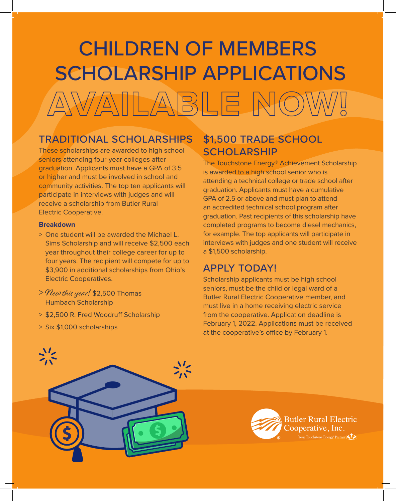# CHILDREN OF MEMBERS SCHOLARSHIP APPLICATIONS **AVAILABLE NOW!**

### TRADITIONAL SCHOLARSHIPS

These scholarships are awarded to high school seniors attending four-year colleges after graduation. Applicants must have a GPA of 3.5 or higher and must be involved in school and community activities. The top ten applicants will participate in interviews with judges and will receive a scholarship from Butler Rural Electric Cooperative.

#### **Breakdown**

- > One student will be awarded the Michael L. Sims Scholarship and will receive \$2,500 each year throughout their college career for up to four years. The recipient will compete for up to \$3,900 in additional scholarships from Ohio's Electric Cooperatives.
- > New this year! \$2,500 Thomas Humbach Scholarship
- > \$2,500 R. Fred Woodruff Scholarship
- > Six \$1,000 scholarships

### \$1,500 TRADE SCHOOL **SCHOLARSHIP**

The Touchstone Energy® Achievement Scholarship is awarded to a high school senior who is attending a technical college or trade school after graduation. Applicants must have a cumulative GPA of 2.5 or above and must plan to attend an accredited technical school program after graduation. Past recipients of this scholarship have completed programs to become diesel mechanics, for example. The top applicants will participate in interviews with judges and one student will receive a \$1,500 scholarship.

### APPLY TODAY!

Scholarship applicants must be high school seniors, must be the child or legal ward of a Butler Rural Electric Cooperative member, and must live in a home receiving electric service from the cooperative. Application deadline is February 1, 2022. Applications must be received at the cooperative's office by February 1.